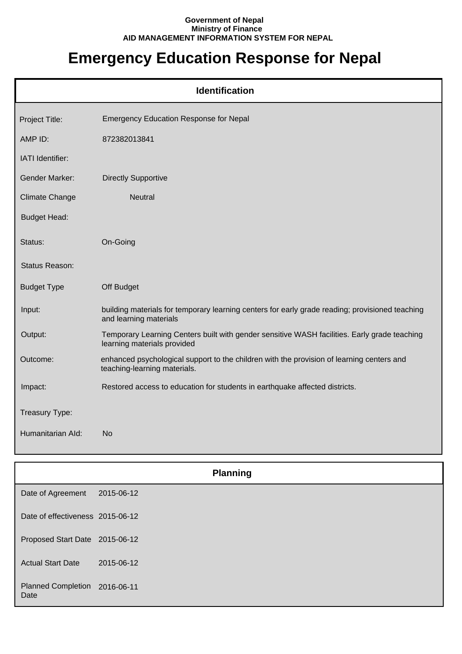## **Government of Nepal Ministry of Finance AID MANAGEMENT INFORMATION SYSTEM FOR NEPAL**

## **Emergency Education Response for Nepal**

| <b>Identification</b> |                                                                                                                             |  |
|-----------------------|-----------------------------------------------------------------------------------------------------------------------------|--|
| Project Title:        | <b>Emergency Education Response for Nepal</b>                                                                               |  |
| AMP ID:               | 872382013841                                                                                                                |  |
| IATI Identifier:      |                                                                                                                             |  |
| <b>Gender Marker:</b> | <b>Directly Supportive</b>                                                                                                  |  |
| <b>Climate Change</b> | <b>Neutral</b>                                                                                                              |  |
| <b>Budget Head:</b>   |                                                                                                                             |  |
| Status:               | On-Going                                                                                                                    |  |
| Status Reason:        |                                                                                                                             |  |
| <b>Budget Type</b>    | Off Budget                                                                                                                  |  |
| Input:                | building materials for temporary learning centers for early grade reading; provisioned teaching<br>and learning materials   |  |
| Output:               | Temporary Learning Centers built with gender sensitive WASH facilities. Early grade teaching<br>learning materials provided |  |
| Outcome:              | enhanced psychological support to the children with the provision of learning centers and<br>teaching-learning materials.   |  |
| Impact:               | Restored access to education for students in earthquake affected districts.                                                 |  |
| Treasury Type:        |                                                                                                                             |  |
| Humanitarian Ald:     | <b>No</b>                                                                                                                   |  |

|                                       | <b>Planning</b> |  |
|---------------------------------------|-----------------|--|
| Date of Agreement                     | 2015-06-12      |  |
| Date of effectiveness 2015-06-12      |                 |  |
| Proposed Start Date 2015-06-12        |                 |  |
| <b>Actual Start Date</b>              | 2015-06-12      |  |
| Planned Completion 2016-06-11<br>Date |                 |  |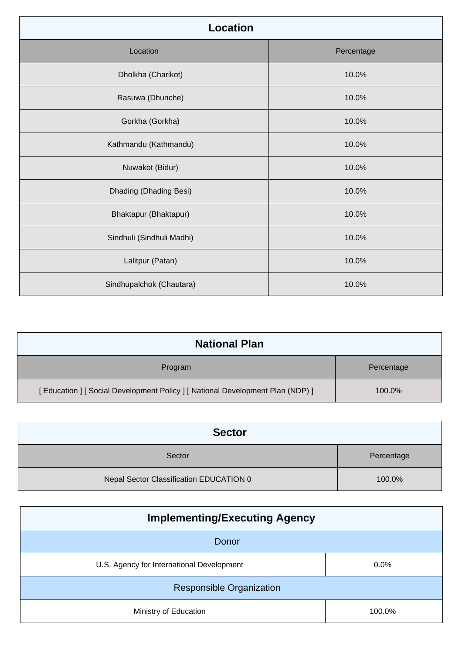| <b>Location</b>           |            |
|---------------------------|------------|
| Location                  | Percentage |
| Dholkha (Charikot)        | 10.0%      |
| Rasuwa (Dhunche)          | 10.0%      |
| Gorkha (Gorkha)           | 10.0%      |
| Kathmandu (Kathmandu)     | 10.0%      |
| Nuwakot (Bidur)           | 10.0%      |
| Dhading (Dhading Besi)    | 10.0%      |
| Bhaktapur (Bhaktapur)     | 10.0%      |
| Sindhuli (Sindhuli Madhi) | 10.0%      |
| Lalitpur (Patan)          | 10.0%      |
| Sindhupalchok (Chautara)  | 10.0%      |

| <b>National Plan</b>                                                         |            |
|------------------------------------------------------------------------------|------------|
| Program                                                                      | Percentage |
| [Education ] [Social Development Policy ] [National Development Plan (NDP) ] | 100.0%     |

| <b>Sector</b>                           |            |
|-----------------------------------------|------------|
| Sector                                  | Percentage |
| Nepal Sector Classification EDUCATION 0 | 100.0%     |

| <b>Implementing/Executing Agency</b>      |        |
|-------------------------------------------|--------|
| Donor                                     |        |
| U.S. Agency for International Development | 0.0%   |
| <b>Responsible Organization</b>           |        |
| Ministry of Education                     | 100.0% |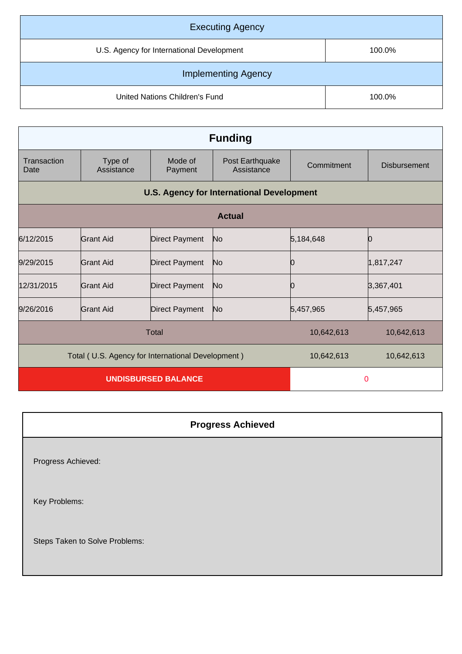| <b>Executing Agency</b>                   |        |
|-------------------------------------------|--------|
| U.S. Agency for International Development | 100.0% |
| <b>Implementing Agency</b>                |        |
| United Nations Children's Fund            | 100.0% |

| <b>Funding</b>                                    |                       |                       |                                                  |            |                     |
|---------------------------------------------------|-----------------------|-----------------------|--------------------------------------------------|------------|---------------------|
| Transaction<br>Date                               | Type of<br>Assistance | Mode of<br>Payment    | Post Earthquake<br>Assistance                    | Commitment | <b>Disbursement</b> |
|                                                   |                       |                       | <b>U.S. Agency for International Development</b> |            |                     |
| <b>Actual</b>                                     |                       |                       |                                                  |            |                     |
| 6/12/2015                                         | Grant Aid             | <b>Direct Payment</b> | No                                               | 5,184,648  |                     |
| 9/29/2015                                         | Grant Aid             | <b>Direct Payment</b> | No                                               | 10         | 1,817,247           |
| 12/31/2015                                        | Grant Aid             | <b>Direct Payment</b> | No                                               | 10         | 3,367,401           |
| 9/26/2016                                         | Grant Aid             | <b>Direct Payment</b> | No                                               | 5,457,965  | 5,457,965           |
| <b>Total</b>                                      |                       |                       | 10,642,613                                       | 10,642,613 |                     |
| Total (U.S. Agency for International Development) |                       | 10,642,613            | 10,642,613                                       |            |                     |
| <b>UNDISBURSED BALANCE</b>                        |                       | 0                     |                                                  |            |                     |

| <b>Progress Achieved</b>       |  |
|--------------------------------|--|
| Progress Achieved:             |  |
| Key Problems:                  |  |
| Steps Taken to Solve Problems: |  |